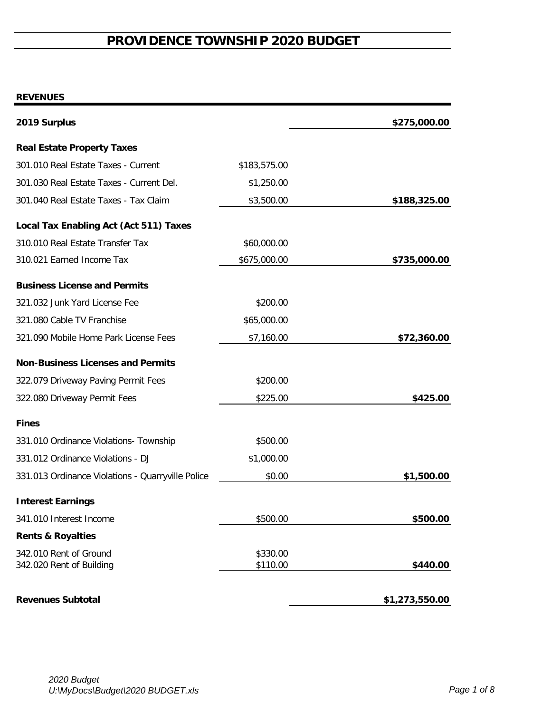# **PROVIDENCE TOWNSHIP 2020 BUDGET**

# **REVENUES**

| 2019 Surplus                                       |                      | \$275,000.00   |
|----------------------------------------------------|----------------------|----------------|
| <b>Real Estate Property Taxes</b>                  |                      |                |
| 301.010 Real Estate Taxes - Current                | \$183,575.00         |                |
| 301.030 Real Estate Taxes - Current Del.           | \$1,250.00           |                |
| 301.040 Real Estate Taxes - Tax Claim              | \$3,500.00           | \$188,325.00   |
| <b>Local Tax Enabling Act (Act 511) Taxes</b>      |                      |                |
| 310.010 Real Estate Transfer Tax                   | \$60,000.00          |                |
| 310.021 Earned Income Tax                          | \$675,000.00         | \$735,000.00   |
| <b>Business License and Permits</b>                |                      |                |
| 321.032 Junk Yard License Fee                      | \$200.00             |                |
| 321.080 Cable TV Franchise                         | \$65,000.00          |                |
| 321.090 Mobile Home Park License Fees              | \$7,160.00           | \$72,360.00    |
| <b>Non-Business Licenses and Permits</b>           |                      |                |
| 322.079 Driveway Paving Permit Fees                | \$200.00             |                |
| 322.080 Driveway Permit Fees                       | \$225.00             | \$425.00       |
| <b>Fines</b>                                       |                      |                |
| 331.010 Ordinance Violations- Township             | \$500.00             |                |
| 331.012 Ordinance Violations - DJ                  | \$1,000.00           |                |
| 331.013 Ordinance Violations - Quarryville Police  | \$0.00               | \$1,500.00     |
| <b>Interest Earnings</b>                           |                      |                |
| 341.010 Interest Income                            | \$500.00             | \$500.00       |
| <b>Rents &amp; Royalties</b>                       |                      |                |
| 342.010 Rent of Ground<br>342.020 Rent of Building | \$330.00<br>\$110.00 | \$440.00       |
| <b>Revenues Subtotal</b>                           |                      | \$1,273,550.00 |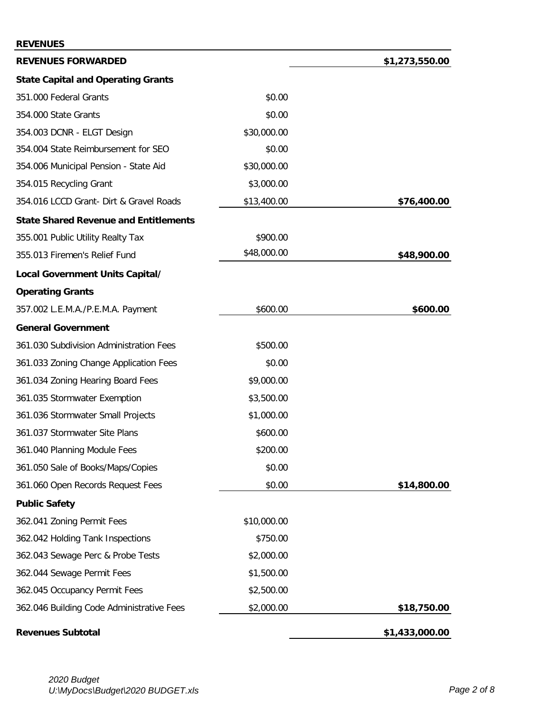#### **REVENUES**

| <b>REVENUES FORWARDED</b>                    |             | \$1,273,550.00 |
|----------------------------------------------|-------------|----------------|
| <b>State Capital and Operating Grants</b>    |             |                |
| 351.000 Federal Grants                       | \$0.00      |                |
| 354.000 State Grants                         | \$0.00      |                |
| 354.003 DCNR - ELGT Design                   | \$30,000.00 |                |
| 354.004 State Reimbursement for SEO          | \$0.00      |                |
| 354.006 Municipal Pension - State Aid        | \$30,000.00 |                |
| 354.015 Recycling Grant                      | \$3,000.00  |                |
| 354.016 LCCD Grant- Dirt & Gravel Roads      | \$13,400.00 | \$76,400.00    |
| <b>State Shared Revenue and Entitlements</b> |             |                |
| 355.001 Public Utility Realty Tax            | \$900.00    |                |
| 355.013 Firemen's Relief Fund                | \$48,000.00 | \$48,900.00    |
| Local Government Units Capital/              |             |                |
| <b>Operating Grants</b>                      |             |                |
| 357.002 L.E.M.A./P.E.M.A. Payment            | \$600.00    | \$600.00       |
| <b>General Government</b>                    |             |                |
| 361.030 Subdivision Administration Fees      | \$500.00    |                |
| 361.033 Zoning Change Application Fees       | \$0.00      |                |
| 361.034 Zoning Hearing Board Fees            | \$9,000.00  |                |
| 361.035 Stormwater Exemption                 | \$3,500.00  |                |
| 361.036 Stormwater Small Projects            | \$1,000.00  |                |
| 361.037 Stormwater Site Plans                | \$600.00    |                |
| 361.040 Planning Module Fees                 | \$200.00    |                |
| 361.050 Sale of Books/Maps/Copies            | \$0.00      |                |
| 361.060 Open Records Request Fees            | \$0.00      | \$14,800.00    |
| <b>Public Safety</b>                         |             |                |
| 362.041 Zoning Permit Fees                   | \$10,000.00 |                |
| 362.042 Holding Tank Inspections             | \$750.00    |                |
| 362.043 Sewage Perc & Probe Tests            | \$2,000.00  |                |
| 362.044 Sewage Permit Fees                   | \$1,500.00  |                |
| 362.045 Occupancy Permit Fees                | \$2,500.00  |                |
| 362.046 Building Code Administrative Fees    | \$2,000.00  | \$18,750.00    |
| <b>Revenues Subtotal</b>                     |             | \$1,433,000.00 |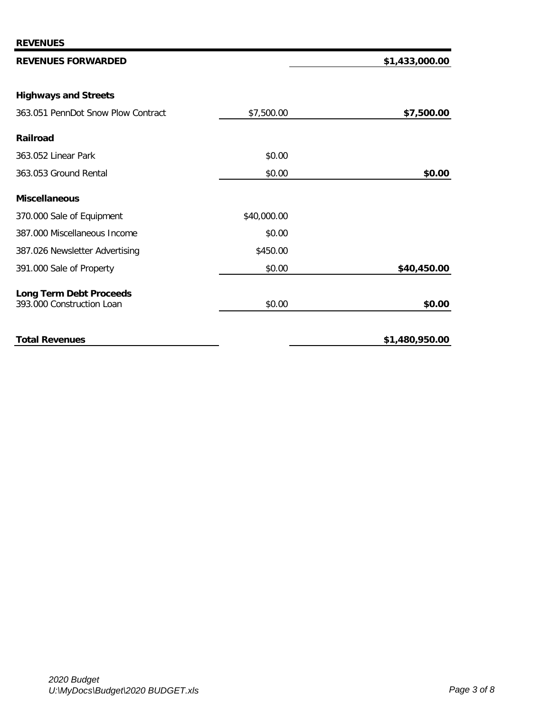## **REVENUES FORWARDED \$1,433,000.00**

# **Highways and Streets**

| 363.051 PennDot Snow Plow Contract                          | \$7,500.00  | \$7,500.00     |
|-------------------------------------------------------------|-------------|----------------|
| <b>Railroad</b>                                             |             |                |
| 363.052 Linear Park                                         | \$0.00      |                |
| 363.053 Ground Rental                                       | \$0.00      | \$0.00         |
| <b>Miscellaneous</b>                                        |             |                |
| 370.000 Sale of Equipment                                   | \$40,000.00 |                |
| 387.000 Miscellaneous Income                                | \$0.00      |                |
| 387.026 Newsletter Advertising                              | \$450.00    |                |
| 391.000 Sale of Property                                    | \$0.00      | \$40,450.00    |
| <b>Long Term Debt Proceeds</b><br>393.000 Construction Loan | \$0.00      | \$0.00         |
| <b>Total Revenues</b>                                       |             | \$1,480,950.00 |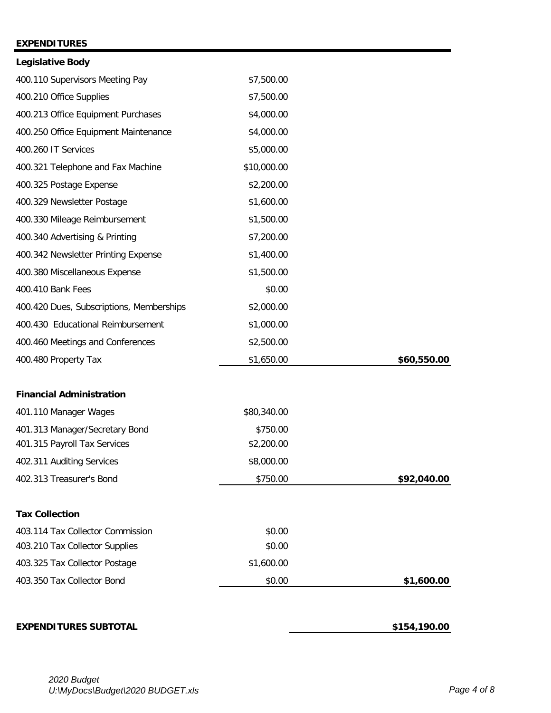### **EXPENDITURES**

| <b>Legislative Body</b>                  |             |             |
|------------------------------------------|-------------|-------------|
| 400.110 Supervisors Meeting Pay          | \$7,500.00  |             |
| 400.210 Office Supplies                  | \$7,500.00  |             |
| 400.213 Office Equipment Purchases       | \$4,000.00  |             |
| 400.250 Office Equipment Maintenance     | \$4,000.00  |             |
| 400.260 IT Services                      | \$5,000.00  |             |
| 400.321 Telephone and Fax Machine        | \$10,000.00 |             |
| 400.325 Postage Expense                  | \$2,200.00  |             |
| 400.329 Newsletter Postage               | \$1,600.00  |             |
| 400.330 Mileage Reimbursement            | \$1,500.00  |             |
| 400.340 Advertising & Printing           | \$7,200.00  |             |
| 400.342 Newsletter Printing Expense      | \$1,400.00  |             |
| 400.380 Miscellaneous Expense            | \$1,500.00  |             |
| 400.410 Bank Fees                        | \$0.00      |             |
| 400.420 Dues, Subscriptions, Memberships | \$2,000.00  |             |
| 400.430 Educational Reimbursement        | \$1,000.00  |             |
| 400.460 Meetings and Conferences         | \$2,500.00  |             |
| 400.480 Property Tax                     | \$1,650.00  | \$60,550.00 |
| <b>Financial Administration</b>          |             |             |
| 401.110 Manager Wages                    | \$80,340.00 |             |
| 401.313 Manager/Secretary Bond           | \$750.00    |             |
| 401.315 Payroll Tax Services             | \$2,200.00  |             |
| 402.311 Auditing Services                | \$8,000.00  |             |
| 402.313 Treasurer's Bond                 | \$750.00    | \$92,040.00 |
| <b>Tax Collection</b>                    |             |             |
| 403.114 Tax Collector Commission         | \$0.00      |             |
| 403.210 Tax Collector Supplies           | \$0.00      |             |
| 403.325 Tax Collector Postage            | \$1,600.00  |             |
| 403.350 Tax Collector Bond               | \$0.00      | \$1,600.00  |
|                                          |             |             |

### **EXPENDITURES SUBTOTAL 5154,190.00**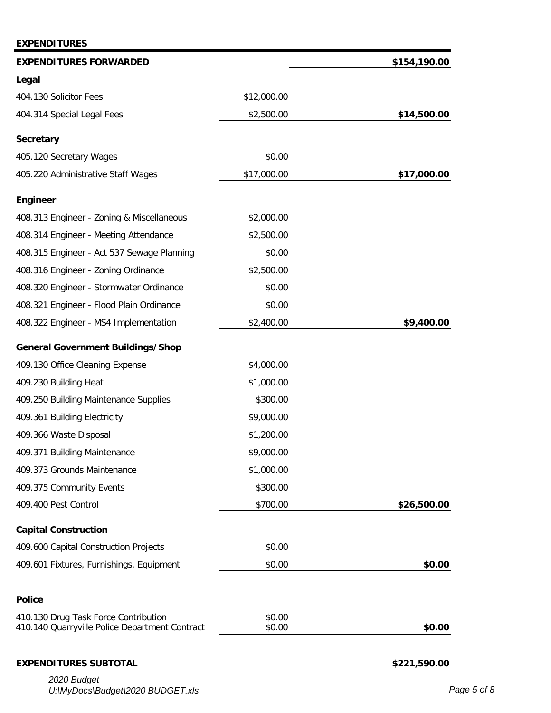| <b>EXPENDITURES</b>                                                                    |                  |              |
|----------------------------------------------------------------------------------------|------------------|--------------|
| <b>EXPENDITURES FORWARDED</b>                                                          |                  | \$154,190.00 |
| Legal                                                                                  |                  |              |
| 404.130 Solicitor Fees                                                                 | \$12,000.00      |              |
| 404.314 Special Legal Fees                                                             | \$2,500.00       | \$14,500.00  |
| <b>Secretary</b>                                                                       |                  |              |
| 405.120 Secretary Wages                                                                | \$0.00           |              |
| 405.220 Administrative Staff Wages                                                     | \$17,000.00      | \$17,000.00  |
| <b>Engineer</b>                                                                        |                  |              |
| 408.313 Engineer - Zoning & Miscellaneous                                              | \$2,000.00       |              |
| 408.314 Engineer - Meeting Attendance                                                  | \$2,500.00       |              |
| 408.315 Engineer - Act 537 Sewage Planning                                             | \$0.00           |              |
| 408.316 Engineer - Zoning Ordinance                                                    | \$2,500.00       |              |
| 408.320 Engineer - Stormwater Ordinance                                                | \$0.00           |              |
| 408.321 Engineer - Flood Plain Ordinance                                               | \$0.00           |              |
| 408.322 Engineer - MS4 Implementation                                                  | \$2,400.00       | \$9,400.00   |
| <b>General Government Buildings/Shop</b>                                               |                  |              |
| 409.130 Office Cleaning Expense                                                        | \$4,000.00       |              |
| 409.230 Building Heat                                                                  | \$1,000.00       |              |
| 409.250 Building Maintenance Supplies                                                  | \$300.00         |              |
| 409.361 Building Electricity                                                           | \$9,000.00       |              |
| 409.366 Waste Disposal                                                                 | \$1,200.00       |              |
| 409.371 Building Maintenance                                                           | \$9,000.00       |              |
| 409.373 Grounds Maintenance                                                            | \$1,000.00       |              |
| 409.375 Community Events                                                               | \$300.00         |              |
| 409.400 Pest Control                                                                   | \$700.00         | \$26,500.00  |
| <b>Capital Construction</b>                                                            |                  |              |
| 409.600 Capital Construction Projects                                                  | \$0.00           |              |
| 409.601 Fixtures, Furnishings, Equipment                                               | \$0.00           | \$0.00       |
|                                                                                        |                  |              |
| <b>Police</b>                                                                          |                  |              |
| 410.130 Drug Task Force Contribution<br>410.140 Quarryville Police Department Contract | \$0.00<br>\$0.00 | \$0.00       |
| <b>EXPENDITURES SUBTOTAL</b>                                                           |                  | \$221,590.00 |
| 2020 Budget                                                                            |                  |              |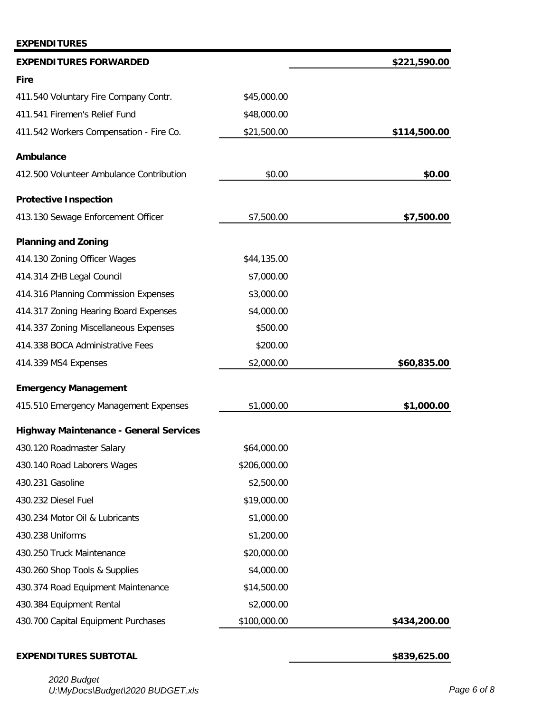### **EXPENDITURES**

| <b>EXPENDITURES FORWARDED</b>                 |              | \$221,590.00 |
|-----------------------------------------------|--------------|--------------|
| <b>Fire</b>                                   |              |              |
| 411.540 Voluntary Fire Company Contr.         | \$45,000.00  |              |
| 411.541 Firemen's Relief Fund                 | \$48,000.00  |              |
| 411.542 Workers Compensation - Fire Co.       | \$21,500.00  | \$114,500.00 |
| Ambulance                                     |              |              |
| 412.500 Volunteer Ambulance Contribution      | \$0.00       | \$0.00       |
| <b>Protective Inspection</b>                  |              |              |
| 413.130 Sewage Enforcement Officer            | \$7,500.00   | \$7,500.00   |
| <b>Planning and Zoning</b>                    |              |              |
| 414.130 Zoning Officer Wages                  | \$44,135.00  |              |
| 414.314 ZHB Legal Council                     | \$7,000.00   |              |
| 414.316 Planning Commission Expenses          | \$3,000.00   |              |
| 414.317 Zoning Hearing Board Expenses         | \$4,000.00   |              |
| 414.337 Zoning Miscellaneous Expenses         | \$500.00     |              |
| 414.338 BOCA Administrative Fees              | \$200.00     |              |
| 414.339 MS4 Expenses                          | \$2,000.00   | \$60,835.00  |
| <b>Emergency Management</b>                   |              |              |
| 415.510 Emergency Management Expenses         | \$1,000.00   | \$1,000.00   |
| <b>Highway Maintenance - General Services</b> |              |              |
| 430.120 Roadmaster Salary                     | \$64,000.00  |              |
| 430.140 Road Laborers Wages                   | \$206,000.00 |              |
| 430.231 Gasoline                              | \$2,500.00   |              |
| 430.232 Diesel Fuel                           | \$19,000.00  |              |
| 430.234 Motor Oil & Lubricants                | \$1,000.00   |              |
| 430.238 Uniforms                              | \$1,200.00   |              |
| 430.250 Truck Maintenance                     | \$20,000.00  |              |
| 430.260 Shop Tools & Supplies                 | \$4,000.00   |              |
| 430.374 Road Equipment Maintenance            | \$14,500.00  |              |
| 430.384 Equipment Rental                      | \$2,000.00   |              |
| 430.700 Capital Equipment Purchases           | \$100,000.00 | \$434,200.00 |

### **EXPENDITURES SUBTOTAL** *CONTRERENT <b>EXPENDITURES* SUBTOTAL *CONTRERENT <b>EXPENDITURES*

*2020 Budget U:\MyDocs\Budget\2020 BUDGET.xls Page 6 of 8*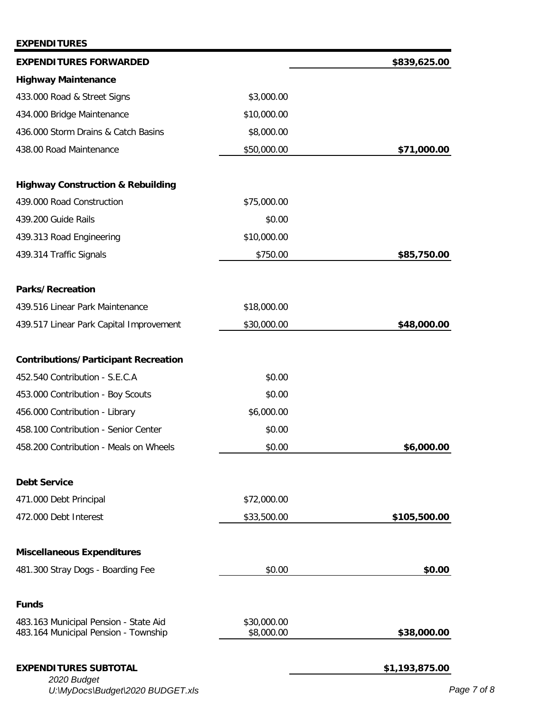| <b>EXPENDITURES</b>                                                           |                           |                |
|-------------------------------------------------------------------------------|---------------------------|----------------|
| <b>EXPENDITURES FORWARDED</b>                                                 |                           | \$839,625.00   |
| <b>Highway Maintenance</b>                                                    |                           |                |
| 433.000 Road & Street Signs                                                   | \$3,000.00                |                |
| 434.000 Bridge Maintenance                                                    | \$10,000.00               |                |
| 436.000 Storm Drains & Catch Basins                                           | \$8,000.00                |                |
| 438.00 Road Maintenance                                                       | \$50,000.00               | \$71,000.00    |
| <b>Highway Construction &amp; Rebuilding</b>                                  |                           |                |
| 439.000 Road Construction                                                     | \$75,000.00               |                |
| 439.200 Guide Rails                                                           | \$0.00                    |                |
| 439.313 Road Engineering                                                      | \$10,000.00               |                |
| 439.314 Traffic Signals                                                       | \$750.00                  | \$85,750.00    |
| <b>Parks/Recreation</b>                                                       |                           |                |
| 439.516 Linear Park Maintenance                                               | \$18,000.00               |                |
| 439.517 Linear Park Capital Improvement                                       | \$30,000.00               | \$48,000.00    |
| <b>Contributions/Participant Recreation</b>                                   |                           |                |
| 452.540 Contribution - S.E.C.A                                                | \$0.00                    |                |
| 453.000 Contribution - Boy Scouts                                             | \$0.00                    |                |
| 456.000 Contribution - Library                                                | \$6,000.00                |                |
| 458.100 Contribution - Senior Center                                          | \$0.00                    |                |
| 458.200 Contribution - Meals on Wheels                                        | \$0.00                    | \$6,000.00     |
| <b>Debt Service</b>                                                           |                           |                |
| 471.000 Debt Principal                                                        | \$72,000.00               |                |
| 472.000 Debt Interest                                                         | \$33,500.00               | \$105,500.00   |
| <b>Miscellaneous Expenditures</b>                                             |                           |                |
| 481.300 Stray Dogs - Boarding Fee                                             | \$0.00                    | \$0.00         |
| <b>Funds</b>                                                                  |                           |                |
| 483.163 Municipal Pension - State Aid<br>483.164 Municipal Pension - Township | \$30,000.00<br>\$8,000.00 | \$38,000.00    |
| <b>EXPENDITURES SUBTOTAL</b><br>2020 Budget                                   |                           | \$1,193,875.00 |

*U:\MyDocs\Budget\2020 BUDGET.xls Page 7 of 8*